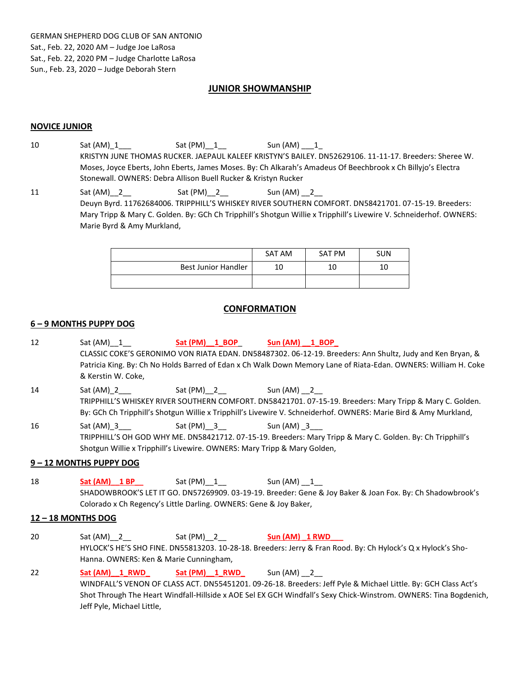# **JUNIOR SHOWMANSHIP**

### **NOVICE JUNIOR**

- 10 Sat (AM)\_1\_\_\_ Sat (PM)\_\_1\_\_ Sun (AM) \_\_\_1\_ KRISTYN JUNE THOMAS RUCKER. JAEPAUL KALEEF KRISTYN'S BAILEY. DN52629106. 11-11-17. Breeders: Sheree W. Moses, Joyce Eberts, John Eberts, James Moses. By: Ch Alkarah's Amadeus Of Beechbrook x Ch Billyjo's Electra Stonewall. OWNERS: Debra Allison Buell Rucker & Kristyn Rucker
- 11 Sat (AM)\_2\_\_ Sat (PM)\_2\_ Sun (AM)\_2\_ Deuyn Byrd. 11762684006. TRIPPHILL'S WHISKEY RIVER SOUTHERN COMFORT. DN58421701. 07-15-19. Breeders: Mary Tripp & Mary C. Golden. By: GCh Ch Tripphill's Shotgun Willie x Tripphill's Livewire V. Schneiderhof. OWNERS: Marie Byrd & Amy Murkland,

|                     | SAT AM | SAT PM | <b>SUN</b> |
|---------------------|--------|--------|------------|
| Best Junior Handler | 10     | 10     |            |
|                     |        |        |            |

## **CONFORMATION**

#### **6 – 9 MONTHS PUPPY DOG**

12 Sat (AM)  $\perp$  **Sat (PM)**  $\perp$  **BOP Sun (AM)**  $\perp$  **BOP** CLASSIC COKE'S GERONIMO VON RIATA EDAN. DN58487302. 06-12-19. Breeders: Ann Shultz, Judy and Ken Bryan, & Patricia King. By: Ch No Holds Barred of Edan x Ch Walk Down Memory Lane of Riata-Edan. OWNERS: William H. Coke & Kerstin W. Coke, 14 Sat (AM) \_2 Sat (PM) \_2 \_\_\_ Sun (AM) \_2 TRIPPHILL'S WHISKEY RIVER SOUTHERN COMFORT. DN58421701. 07-15-19. Breeders: Mary Tripp & Mary C. Golden. By: GCh Ch Tripphill's Shotgun Willie x Tripphill's Livewire V. Schneiderhof. OWNERS: Marie Bird & Amy Murkland, 16 Sat (AM)\_3 \_\_\_ Sat (PM)\_3 \_\_ Sun (AM) \_3 TRIPPHILL'S OH GOD WHY ME. DN58421712. 07-15-19. Breeders: Mary Tripp & Mary C. Golden. By: Ch Tripphill's Shotgun Willie x Tripphill's Livewire. OWNERS: Mary Tripp & Mary Golden, **9 – 12 MONTHS PUPPY DOG** 18 **Sat (AM) 1 BP** Sat (PM)\_1\_ Sun (AM) \_1\_ SHADOWBROOK'S LET IT GO. DN57269909. 03-19-19. Breeder: Gene & Joy Baker & Joan Fox. By: Ch Shadowbrook's Colorado x Ch Regency's Little Darling. OWNERS: Gene & Joy Baker, **12 – 18 MONTHS DOG** 20 Sat (AM)\_\_2\_\_ Sat (PM)\_\_2\_\_ **Sun (AM) \_1 RWD\_\_\_** HYLOCK'S HE'S SHO FINE. DN55813203. 10-28-18. Breeders: Jerry & Fran Rood. By: Ch Hylock's Q x Hylock's Sho-Hanna. OWNERS: Ken & Marie Cunningham, 22 **Sat (AM)\_\_1\_RWD\_ Sat (PM)\_\_1\_RWD\_** Sun (AM) \_\_2\_\_ WINDFALL'S VENON OF CLASS ACT. DN55451201. 09-26-18. Breeders: Jeff Pyle & Michael Little. By: GCH Class Act's Shot Through The Heart Windfall-Hillside x AOE Sel EX GCH Windfall's Sexy Chick-Winstrom. OWNERS: Tina Bogdenich, Jeff Pyle, Michael Little,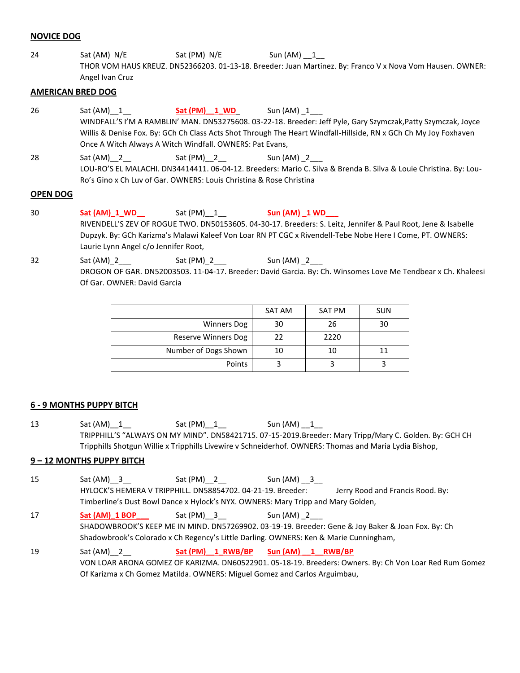### **NOVICE DOG**

24 Sat (AM) N/E Sat (PM) N/E Sun (AM) 1 THOR VOM HAUS KREUZ. DN52366203. 01-13-18. Breeder: Juan Martinez. By: Franco V x Nova Vom Hausen. OWNER: Angel Ivan Cruz

### **AMERICAN BRED DOG**

26 Sat (AM)  $1$  **Sat (PM)**  $1$  **WD** Sun (AM)  $1$ WINDFALL'S I'M A RAMBLIN' MAN. DN53275608. 03-22-18. Breeder: Jeff Pyle, Gary Szymczak,Patty Szymczak, Joyce Willis & Denise Fox. By: GCh Ch Class Acts Shot Through The Heart Windfall-Hillside, RN x GCh Ch My Joy Foxhaven Once A Witch Always A Witch Windfall. OWNERS: Pat Evans, 28 Sat (AM)\_2\_\_ Sat (PM)\_2\_\_ Sun (AM)\_2\_\_ LOU-RO'S EL MALACHI. DN34414411. 06-04-12. Breeders: Mario C. Silva & Brenda B. Silva & Louie Christina. By: Lou-Ro's Gino x Ch Luv of Gar. OWNERS: Louis Christina & Rose Christina

### **OPEN DOG**

- 30 **Sat (AM)\_1\_WD\_\_** Sat (PM)\_\_1\_\_ **Sun (AM) \_1 WD\_\_\_** RIVENDELL'S ZEV OF ROGUE TWO. DN50153605. 04-30-17. Breeders: S. Leitz, Jennifer & Paul Root, Jene & Isabelle Dupzyk. By: GCh Karizma's Malawi Kaleef Von Loar RN PT CGC x Rivendell-Tebe Nobe Here I Come, PT. OWNERS: Laurie Lynn Angel c/o Jennifer Root,
- 32 Sat (AM)\_2\_\_\_ Sat (PM)\_2\_\_\_ Sun (AM) \_2\_ DROGON OF GAR. DN52003503. 11-04-17. Breeder: David Garcia. By: Ch. Winsomes Love Me Tendbear x Ch. Khaleesi Of Gar. OWNER: David Garcia

|                      | SAT AM | SAT PM | <b>SUN</b> |
|----------------------|--------|--------|------------|
| <b>Winners Dog</b>   | 30     | 26     | 30         |
| Reserve Winners Dog  | 22     | 2220   |            |
| Number of Dogs Shown | 10     | 10     |            |
| Points               |        |        |            |

## **6 - 9 MONTHS PUPPY BITCH**

13 Sat (AM)\_1\_\_ Sat (PM)\_1\_\_ Sun (AM) \_1\_ TRIPPHILL'S "ALWAYS ON MY MIND". DN58421715. 07-15-2019.Breeder: Mary Tripp/Mary C. Golden. By: GCH CH Tripphills Shotgun Willie x Tripphills Livewire v Schneiderhof. OWNERS: Thomas and Maria Lydia Bishop,

## **9 – 12 MONTHS PUPPY BITCH**

- 15 Sat (AM) \_ 3 Sat (PM) \_ 2 Sun (AM) \_ 3 HYLOCK'S HEMERA V TRIPPHILL. DN58854702. 04-21-19. Breeder: Jerry Rood and Francis Rood. By: Timberline's Dust Bowl Dance x Hylock's NYX. OWNERS: Mary Tripp and Mary Golden,
- 17 **Sat (AM)\_1 BOP** Sat (PM)\_\_3 Sun (AM) \_2 SHADOWBROOK'S KEEP ME IN MIND. DN57269902. 03-19-19. Breeder: Gene & Joy Baker & Joan Fox. By: Ch Shadowbrook's Colorado x Ch Regency's Little Darling. OWNERS: Ken & Marie Cunningham,
- 19 Sat (AM)\_\_2\_\_ **Sat (PM)\_\_1\_RWB/BP Sun (AM) \_\_1\_\_RWB/BP** VON LOAR ARONA GOMEZ OF KARIZMA. DN60522901. 05-18-19. Breeders: Owners. By: Ch Von Loar Red Rum Gomez Of Karizma x Ch Gomez Matilda. OWNERS: Miguel Gomez and Carlos Arguimbau,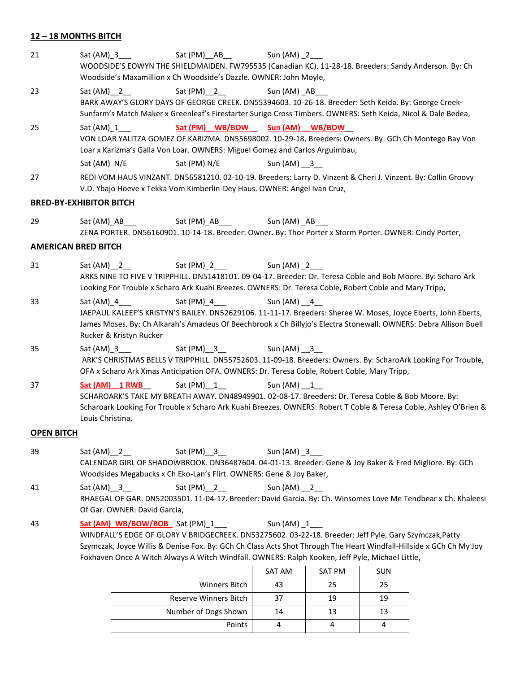## **12 – 18 MONTHS BITCH**

21 Sat (AM) \_3 Sat (PM) \_AB Sun (AM) \_2 WOODSIDE'S EOWYN THE SHIELDMAIDEN. FW795535 (Canadian KC). 11-28-18. Breeders: Sandy Anderson. By: Ch Woodside's Maxamillion x Ch Woodside's Dazzle. OWNER: John Moyle, 23 Sat (AM) \_ 2 Sat (PM) \_ 2 Sun (AM) \_ AB BARK AWAY'S GLORY DAYS OF GEORGE CREEK. DN55394603. 10-26-18. Breeder: Seth Keida. By: George Creek-Sunfarm's Match Maker x Greenleaf's Firestarter Surigo Cross Timbers. OWNERS: Seth Keida, Nicol & Dale Bedea, 25 Sat (AM) 1 **Sat (PM) WB/BOW Sun (AM) WB/BOW** VON LOAR YALITZA GOMEZ OF KARIZMA. DN55698002. 10-29-18. Breeders: Owners. By: GCh Ch Montego Bay Von Loar x Karizma's Galla Von Loar. OWNERS: Miguel Gomez and Carlos Arguimbau, Sat (AM) N/E Sat (PM) N/E Sun (AM)  $\overline{3}$ 27 REDI VOM HAUS VINZANT. DN56581210. 02-10-19. Breeders: Larry D. Vinzent & Cheri J. Vinzent. By: Collin Groovy V.D. Ybajo Hoeve x Tekka Vom Kimberlin-Dey Haus. OWNER: Angel Ivan Cruz, **BRED-BY-EXHIBITOR BITCH** 29 Sat (AM) AB Sat (PM) AB Sun (AM) AB ZENA PORTER. DN56160901. 10-14-18. Breeder: Owner. By: Thor Porter x Storm Porter. OWNER: Cindy Porter, **AMERICAN BRED BITCH** 31 Sat (AM)\_2\_\_ Sat (PM)\_2\_\_ Sun (AM) \_2\_\_ ARKS NINE TO FIVE V TRIPPHILL. DN51418101. 09-04-17. Breeder: Dr. Teresa Coble and Bob Moore. By: Scharo Ark Looking For Trouble x Scharo Ark Kuahi Breezes. OWNERS: Dr. Teresa Coble, Robert Coble and Mary Tripp, 33 Sat (AM) 4 Sat (PM) 4 Sun (AM) 4 JAEPAUL KALEEF'S KRISTYN'S BAILEY. DN52629106. 11-11-17. Breeders: Sheree W. Moses, Joyce Eberts, John Eberts, James Moses. By: Ch Alkarah's Amadeus Of Beechbrook x Ch Billyjo's Electra Stonewall. OWNERS: Debra Allison Buell Rucker & Kristyn Rucker 35 Sat (AM) \_3 Sat (PM) \_3 \_ Sun (AM) \_3 ARK'S CHRISTMAS BELLS V TRIPPHILL. DN55752603. 11-09-18. Breeders: Owners. By: ScharoArk Looking For Trouble, OFA x Scharo Ark Xmas Anticipation OFA. OWNERS: Dr. Teresa Coble, Robert Coble, Mary Tripp, 37 **Sat (AM) \_1 RWB** Sat (PM) \_1 \_\_\_\_\_\_\_ Sun (AM) \_1 SCHAROARK'S TAKE MY BREATH AWAY. DN48949901. 02-08-17. Breeders: Dr. Teresa Coble & Bob Moore. By: Scharoark Looking For Trouble x Scharo Ark Kuahi Breezes. OWNERS: Robert T Coble & Teresa Coble, Ashley O'Brien & Louis Christina, **OPEN BITCH** 39 Sat (AM)\_2\_\_ Sat (PM)\_3\_\_ Sun (AM) \_3\_ CALENDAR GIRL OF SHADOWBROOK. DN36487604. 04-01-13. Breeder: Gene & Joy Baker & Fred Migliore. By: GCh Woodsides Megabucks x Ch Eko-Lan's Flirt. OWNERS: Gene & Joy Baker, 41 Sat (AM) \_ 3 Sat (PM) \_ 2 Sun (AM) \_ 2 RHAEGAL OF GAR. DN52003501. 11-04-17. Breeder: David Garcia. By: Ch. Winsomes Love Me Tendbear x Ch. Khaleesi Of Gar. OWNER: David Garcia, 43 **Sat (AM)\_WB/BOW/BOB\_** Sat (PM)\_1\_\_\_ Sun (AM) \_1\_\_\_ WINDFALL'S EDGE OF GLORY V BRIDGECREEK. DN53275602. 03-22-18. Breeder: Jeff Pyle, Gary Szymczak,Patty Szymczak, Joyce Willis & Denise Fox. By: GCh Ch Class Acts Shot Through The Heart Windfall-Hillside x GCh Ch My Joy

|                       | SAT AM | <b>SAT PM</b> | <b>SUN</b> |
|-----------------------|--------|---------------|------------|
| <b>Winners Bitch</b>  | 43     | 25            | 25         |
| Reserve Winners Bitch | 37     | 19            | 19         |
| Number of Dogs Shown  | 14     | 13            | 13         |
| Points                |        |               |            |

Foxhaven Once A Witch Always A Witch Windfall. OWNERS: Ralph Kooken, Jeff Pyle, Michael Little,